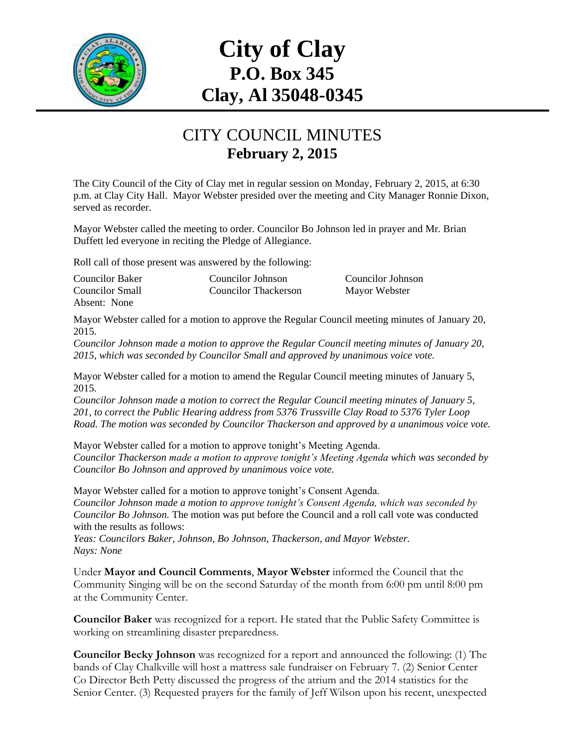

## **City of Clay P.O. Box 345 Clay, Al 35048-0345**

## CITY COUNCIL MINUTES **February 2, 2015**

The City Council of the City of Clay met in regular session on Monday, February 2, 2015, at 6:30 p.m. at Clay City Hall. Mayor Webster presided over the meeting and City Manager Ronnie Dixon, served as recorder.

Mayor Webster called the meeting to order. Councilor Bo Johnson led in prayer and Mr. Brian Duffett led everyone in reciting the Pledge of Allegiance.

Roll call of those present was answered by the following:

| <b>Councilor Baker</b> | Councilor Johnson    | Councilor Johnson |
|------------------------|----------------------|-------------------|
| <b>Councilor Small</b> | Councilor Thackerson | Mayor Webster     |
| Absent: None           |                      |                   |

Mayor Webster called for a motion to approve the Regular Council meeting minutes of January 20, 2015.

*Councilor Johnson made a motion to approve the Regular Council meeting minutes of January 20, 2015, which was seconded by Councilor Small and approved by unanimous voice vote.*

Mayor Webster called for a motion to amend the Regular Council meeting minutes of January 5, 2015.

*Councilor Johnson made a motion to correct the Regular Council meeting minutes of January 5, 201, to correct the Public Hearing address from 5376 Trussville Clay Road to 5376 Tyler Loop Road. The motion was seconded by Councilor Thackerson and approved by a unanimous voice vote.*

Mayor Webster called for a motion to approve tonight's Meeting Agenda. *Councilor Thackerson made a motion to approve tonight's Meeting Agenda which was seconded by Councilor Bo Johnson and approved by unanimous voice vote.*

Mayor Webster called for a motion to approve tonight's Consent Agenda. *Councilor Johnson made a motion to approve tonight's Consent Agenda, which was seconded by Councilor Bo Johnson.* The motion was put before the Council and a roll call vote was conducted with the results as follows:

*Yeas: Councilors Baker, Johnson, Bo Johnson, Thackerson, and Mayor Webster. Nays: None*

Under **Mayor and Council Comments**, **Mayor Webster** informed the Council that the Community Singing will be on the second Saturday of the month from 6:00 pm until 8:00 pm at the Community Center.

**Councilor Baker** was recognized for a report. He stated that the Public Safety Committee is working on streamlining disaster preparedness.

**Councilor Becky Johnson** was recognized for a report and announced the following: (1) The bands of Clay Chalkville will host a mattress sale fundraiser on February 7. (2) Senior Center Co Director Beth Petty discussed the progress of the atrium and the 2014 statistics for the Senior Center. (3) Requested prayers for the family of Jeff Wilson upon his recent, unexpected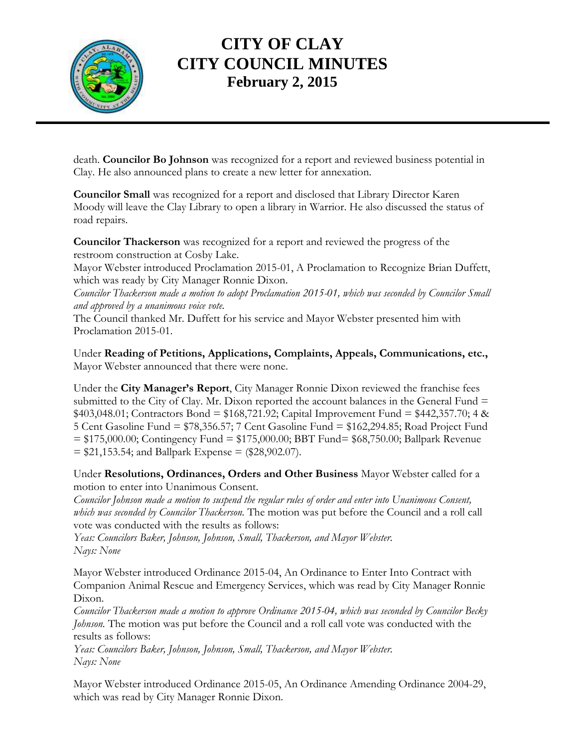

## **CITY OF CLAY CITY COUNCIL MINUTES February 2, 2015**

death. **Councilor Bo Johnson** was recognized for a report and reviewed business potential in Clay. He also announced plans to create a new letter for annexation.

**Councilor Small** was recognized for a report and disclosed that Library Director Karen Moody will leave the Clay Library to open a library in Warrior. He also discussed the status of road repairs.

**Councilor Thackerson** was recognized for a report and reviewed the progress of the restroom construction at Cosby Lake.

Mayor Webster introduced Proclamation 2015-01, A Proclamation to Recognize Brian Duffett, which was ready by City Manager Ronnie Dixon.

*Councilor Thackerson made a motion to adopt Proclamation 2015-01, which was seconded by Councilor Small and approved by a unanimous voice vote.*

The Council thanked Mr. Duffett for his service and Mayor Webster presented him with Proclamation 2015-01.

Under **Reading of Petitions, Applications, Complaints, Appeals, Communications, etc.,** Mayor Webster announced that there were none.

Under the **City Manager's Report**, City Manager Ronnie Dixon reviewed the franchise fees submitted to the City of Clay. Mr. Dixon reported the account balances in the General Fund  $=$  $$403,048.01;$  Contractors Bond =  $$168,721.92;$  Capital Improvement Fund =  $$442,357.70;$  4 & 5 Cent Gasoline Fund = \$78,356.57; 7 Cent Gasoline Fund = \$162,294.85; Road Project Fund = \$175,000.00; Contingency Fund = \$175,000.00; BBT Fund= \$68,750.00; Ballpark Revenue  $= $21,153.54$ ; and Ballpark Expense  $= ($28,902.07)$ .

Under **Resolutions, Ordinances, Orders and Other Business** Mayor Webster called for a motion to enter into Unanimous Consent.

*Councilor Johnson made a motion to suspend the regular rules of order and enter into Unanimous Consent, which was seconded by Councilor Thackerson.* The motion was put before the Council and a roll call vote was conducted with the results as follows:

*Yeas: Councilors Baker, Johnson, Johnson, Small, Thackerson, and Mayor Webster. Nays: None*

Mayor Webster introduced Ordinance 2015-04, An Ordinance to Enter Into Contract with Companion Animal Rescue and Emergency Services, which was read by City Manager Ronnie Dixon.

*Councilor Thackerson made a motion to approve Ordinance 2015-04, which was seconded by Councilor Becky Johnson.* The motion was put before the Council and a roll call vote was conducted with the results as follows:

*Yeas: Councilors Baker, Johnson, Johnson, Small, Thackerson, and Mayor Webster. Nays: None*

Mayor Webster introduced Ordinance 2015-05, An Ordinance Amending Ordinance 2004-29, which was read by City Manager Ronnie Dixon.